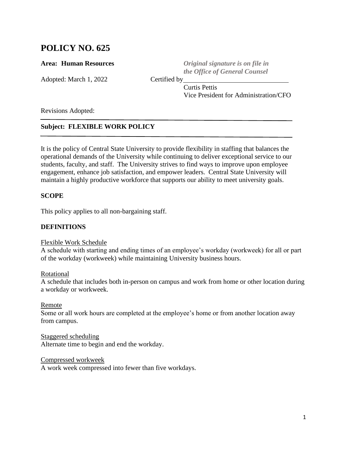# **POLICY NO. 625**

Adopted: March 1, 2022 Certified by

**Area: Area: Human Resources** *Original signature is on file in the Office of General Counsel*

Curtis Pettis Vice President for Administration/CFO

Revisions Adopted:

# **Subject: FLEXIBLE WORK POLICY**

It is the policy of Central State University to provide flexibility in staffing that balances the operational demands of the University while continuing to deliver exceptional service to our students, faculty, and staff. The University strives to find ways to improve upon employee engagement, enhance job satisfaction, and empower leaders. Central State University will maintain a highly productive workforce that supports our ability to meet university goals.

### **SCOPE**

This policy applies to all non-bargaining staff.

#### **DEFINITIONS**

#### Flexible Work Schedule

A schedule with starting and ending times of an employee's workday (workweek) for all or part of the workday (workweek) while maintaining University business hours.

Rotational

A schedule that includes both in-person on campus and work from home or other location during a workday or workweek.

Remote

Some or all work hours are completed at the employee's home or from another location away from campus.

Staggered scheduling Alternate time to begin and end the workday.

Compressed workweek

A work week compressed into fewer than five workdays.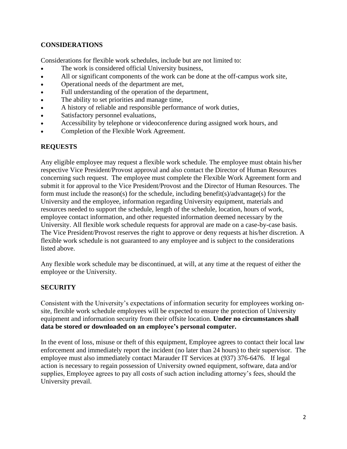# **CONSIDERATIONS**

Considerations for flexible work schedules, include but are not limited to:

- The work is considered official University business,
- All or significant components of the work can be done at the off-campus work site,
- Operational needs of the department are met,
- Full understanding of the operation of the department,
- The ability to set priorities and manage time,
- A history of reliable and responsible performance of work duties,
- Satisfactory personnel evaluations,
- Accessibility by telephone or videoconference during assigned work hours, and
- Completion of the Flexible Work Agreement.

# **REQUESTS**

Any eligible employee may request a flexible work schedule. The employee must obtain his/her respective Vice President/Provost approval and also contact the Director of Human Resources concerning such request. The employee must complete the Flexible Work Agreement form and submit it for approval to the Vice President/Provost and the Director of Human Resources. The form must include the reason(s) for the schedule, including benefit(s)/advantage(s) for the University and the employee, information regarding University equipment, materials and resources needed to support the schedule, length of the schedule, location, hours of work, employee contact information, and other requested information deemed necessary by the University. All flexible work schedule requests for approval are made on a case-by-case basis. The Vice President/Provost reserves the right to approve or deny requests at his/her discretion. A flexible work schedule is not guaranteed to any employee and is subject to the considerations listed above.

Any flexible work schedule may be discontinued, at will, at any time at the request of either the employee or the University.

# **SECURITY**

Consistent with the University's expectations of information security for employees working onsite, flexible work schedule employees will be expected to ensure the protection of University equipment and information security from their offsite location. **Under no circumstances shall data be stored or downloaded on an employee's personal computer.**

In the event of loss, misuse or theft of this equipment, Employee agrees to contact their local law enforcement and immediately report the incident (no later than 24 hours) to their supervisor. The employee must also immediately contact Marauder IT Services at (937) 376-6476. If legal action is necessary to regain possession of University owned equipment, software, data and/or supplies, Employee agrees to pay all costs of such action including attorney's fees, should the University prevail.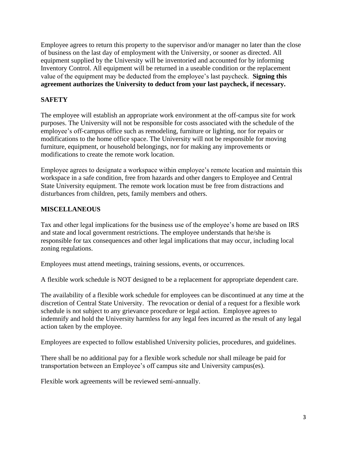Employee agrees to return this property to the supervisor and/or manager no later than the close of business on the last day of employment with the University, or sooner as directed. All equipment supplied by the University will be inventoried and accounted for by informing Inventory Control. All equipment will be returned in a useable condition or the replacement value of the equipment may be deducted from the employee's last paycheck. **Signing this agreement authorizes the University to deduct from your last paycheck, if necessary.** 

# **SAFETY**

The employee will establish an appropriate work environment at the off-campus site for work purposes. The University will not be responsible for costs associated with the schedule of the employee's off-campus office such as remodeling, furniture or lighting, nor for repairs or modifications to the home office space. The University will not be responsible for moving furniture, equipment, or household belongings, nor for making any improvements or modifications to create the remote work location.

Employee agrees to designate a workspace within employee's remote location and maintain this workspace in a safe condition, free from hazards and other dangers to Employee and Central State University equipment. The remote work location must be free from distractions and disturbances from children, pets, family members and others.

# **MISCELLANEOUS**

Tax and other legal implications for the business use of the employee's home are based on IRS and state and local government restrictions. The employee understands that he/she is responsible for tax consequences and other legal implications that may occur, including local zoning regulations.

Employees must attend meetings, training sessions, events, or occurrences.

A flexible work schedule is NOT designed to be a replacement for appropriate dependent care.

The availability of a flexible work schedule for employees can be discontinued at any time at the discretion of Central State University. The revocation or denial of a request for a flexible work schedule is not subject to any grievance procedure or legal action. Employee agrees to indemnify and hold the University harmless for any legal fees incurred as the result of any legal action taken by the employee.

Employees are expected to follow established University policies, procedures, and guidelines.

There shall be no additional pay for a flexible work schedule nor shall mileage be paid for transportation between an Employee's off campus site and University campus(es).

Flexible work agreements will be reviewed semi-annually.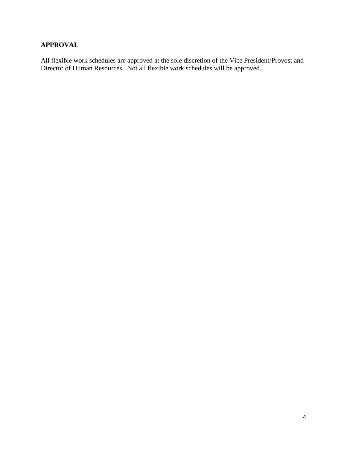# **APPROVAL**

All flexible work schedules are approved at the sole discretion of the Vice President/Provost and Director of Human Resources. Not all flexible work schedules will be approved.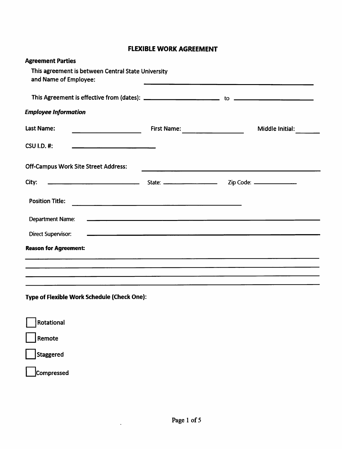# **FLEXIBLE WORK AGREEMENT**

| <b>Agreement Parties</b>                                                                                                                                                                                                                |                                      |                 |
|-----------------------------------------------------------------------------------------------------------------------------------------------------------------------------------------------------------------------------------------|--------------------------------------|-----------------|
| This agreement is between Central State University<br>and Name of Employee:                                                                                                                                                             |                                      |                 |
|                                                                                                                                                                                                                                         |                                      |                 |
| <b>Employee Information</b>                                                                                                                                                                                                             |                                      |                 |
| <b>Last Name:</b><br>$\overline{\phantom{a}}$                                                                                                                                                                                           |                                      | Middle Initial: |
| <b>CSU I.D. #:</b>                                                                                                                                                                                                                      |                                      |                 |
| <b>Off-Campus Work Site Street Address:</b>                                                                                                                                                                                             |                                      |                 |
| State: Contract Contract Contract Contract Contract Contract Contract Contract Contract Contract Contract Contract Contract Contract Contract Contract Contract Contract Contract Contract Contract Contract Contract Contract<br>City: |                                      |                 |
| <b>Position Title:</b>                                                                                                                                                                                                                  |                                      |                 |
| <b>Department Name:</b>                                                                                                                                                                                                                 | <u> Andrew American State (1989)</u> |                 |
| <b>Direct Supervisor:</b>                                                                                                                                                                                                               |                                      |                 |
| <b>Reason for Agreement:</b>                                                                                                                                                                                                            |                                      |                 |
| ,一个人的人都是一个人的人,一个人都是一个人的人,一个人都是一个人的人,一个人都是一个人的人,一个人都是一个人的人,一个人都是一个人的人,一个人都是一个人的人,一                                                                                                                                                       |                                      |                 |
| Type of Flexible Work Schedule (Check One):                                                                                                                                                                                             |                                      |                 |
| Rotational                                                                                                                                                                                                                              |                                      |                 |
| Remote                                                                                                                                                                                                                                  |                                      |                 |
| Staggered                                                                                                                                                                                                                               |                                      |                 |
| Compressed                                                                                                                                                                                                                              |                                      |                 |

 $\ddot{\phantom{a}}$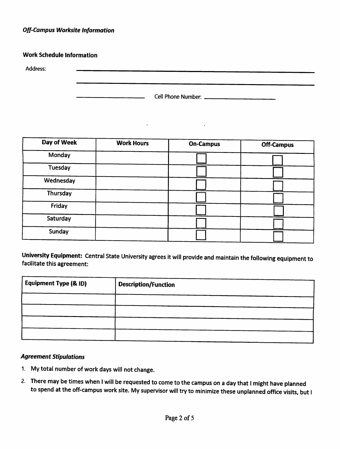### **Off-Campus Worksite Information**

#### **Work Schedule Information**

Address:

|  | Cell Phone Number: _ |  |
|--|----------------------|--|
|--|----------------------|--|

 $\ddot{\phantom{a}}$ 

| Day of Week | <b>Work Hours</b> | <b>On-Campus</b> | <b>Off-Campus</b> |
|-------------|-------------------|------------------|-------------------|
| Monday      |                   |                  |                   |
| Tuesday     |                   |                  |                   |
| Wednesday   |                   |                  |                   |
| Thursday    |                   |                  |                   |
| Friday      |                   |                  |                   |
| Saturday    |                   |                  |                   |
| Sunday      |                   |                  |                   |
|             |                   |                  |                   |

 $\sim 10^{-1}$ 

University Equipment: Central State University agrees it will provide and maintain the following equipment to facilitate this agreement:

| <b>Equipment Type (&amp; ID)</b> | <b>Description/Function</b> |
|----------------------------------|-----------------------------|
|                                  |                             |
|                                  |                             |
|                                  |                             |

#### **Agreement Stipulations**

- 1. My total number of work days will not change.
- 2. There may be times when I will be requested to come to the campus on a day that I might have planned to spend at the off-campus work site. My supervisor will try to minimize these unplanned office visits, but I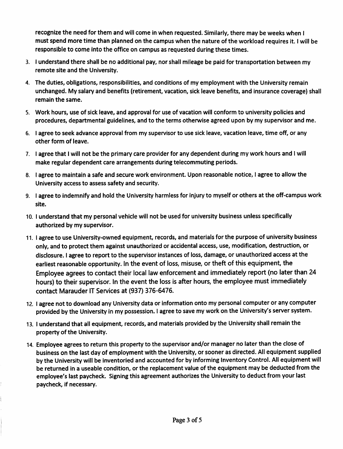recognize the need for them and will come in when requested. Similarly, there may be weeks when I must spend more time than planned on the campus when the nature of the workload requires it. I will be responsible to come into the office on campus as requested during these times.

- 3. I understand there shall be no additional pay, nor shall mileage be paid for transportation between my remote site and the University.
- 4. The duties, obligations, responsibilities, and conditions of my employment with the University remain unchanged. My salary and benefits (retirement, vacation, sick leave benefits, and insurance coverage) shall remain the same.
- 5. Work hours, use of sick leave, and approval for use of vacation will conform to university policies and procedures, departmental guidelines, and to the terms otherwise agreed upon by my supervisor and me.
- 6. I agree to seek advance approval from my supervisor to use sick leave, vacation leave, time off, or any other form of leave.
- 7. I agree that I will not be the primary care provider for any dependent during my work hours and I will make regular dependent care arrangements during telecommuting periods.
- 8. I agree to maintain a safe and secure work environment. Upon reasonable notice, I agree to allow the University access to assess safety and security.
- 9. I agree to indemnify and hold the University harmless for injury to myself or others at the off-campus work site.
- 10. I understand that my personal vehicle will not be used for university business unless specifically authorized by my supervisor.
- 11. I agree to use University-owned equipment, records, and materials for the purpose of university business only, and to protect them against unauthorized or accidental access, use, modification, destruction, or disclosure. I agree to report to the supervisor instances of loss, damage, or unauthorized access at the earliest reasonable opportunity. In the event of loss, misuse, or theft of this equipment, the Employee agrees to contact their local law enforcement and immediately report (no later than 24 hours) to their supervisor. In the event the loss is after hours, the employee must immediately contact Marauder IT Services at (937) 376-6476.
- 12. I agree not to download any University data or information onto my personal computer or any computer provided by the University in my possession. I agree to save my work on the University's server system.
- 13. I understand that all equipment, records, and materials provided by the University shall remain the property of the University.
- 14. Employee agrees to return this property to the supervisor and/or manager no later than the close of business on the last day of employment with the University, or sooner as directed. All equipment supplied by the University will be inventoried and accounted for by informing Inventory Control. All equipment will be returned in a useable condition, or the replacement value of the equipment may be deducted from the employee's last paycheck. Signing this agreement authorizes the University to deduct from your last paycheck, if necessary.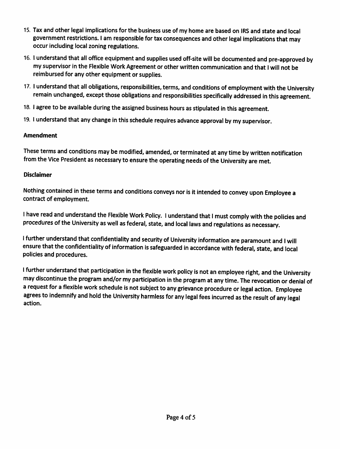- 15. Tax and other legal implications for the business use of my home are based on IRS and state and local government restrictions. I am responsible for tax consequences and other legal implications that may occur including local zoning regulations.
- 16. I understand that all office equipment and supplies used off-site will be documented and pre-approved by my supervisor in the Flexible Work Agreement or other written communication and that I will not be reimbursed for any other equipment or supplies.
- 17. I understand that all obligations, responsibilities, terms, and conditions of employment with the University remain unchanged, except those obligations and responsibilities specifically addressed in this agreement.
- 18. I agree to be available during the assigned business hours as stipulated in this agreement.
- 19. I understand that any change in this schedule requires advance approval by my supervisor.

#### **Amendment**

These terms and conditions may be modified, amended, or terminated at any time by written notification from the Vice President as necessary to ensure the operating needs of the University are met.

#### **Disclaimer**

Nothing contained in these terms and conditions conveys nor is it intended to convey upon Employee a contract of employment.

I have read and understand the Flexible Work Policy. I understand that I must comply with the policies and procedures of the University as well as federal, state, and local laws and regulations as necessary.

I further understand that confidentiality and security of University information are paramount and I will ensure that the confidentiality of information is safeguarded in accordance with federal, state, and local policies and procedures.

I further understand that participation in the flexible work policy is not an employee right, and the University may discontinue the program and/or my participation in the program at any time. The revocation or denial of a request for a flexible work schedule is not subject to any grievance procedure or legal action. Employee agrees to indemnify and hold the University harmless for any legal fees incurred as the result of any legal action.